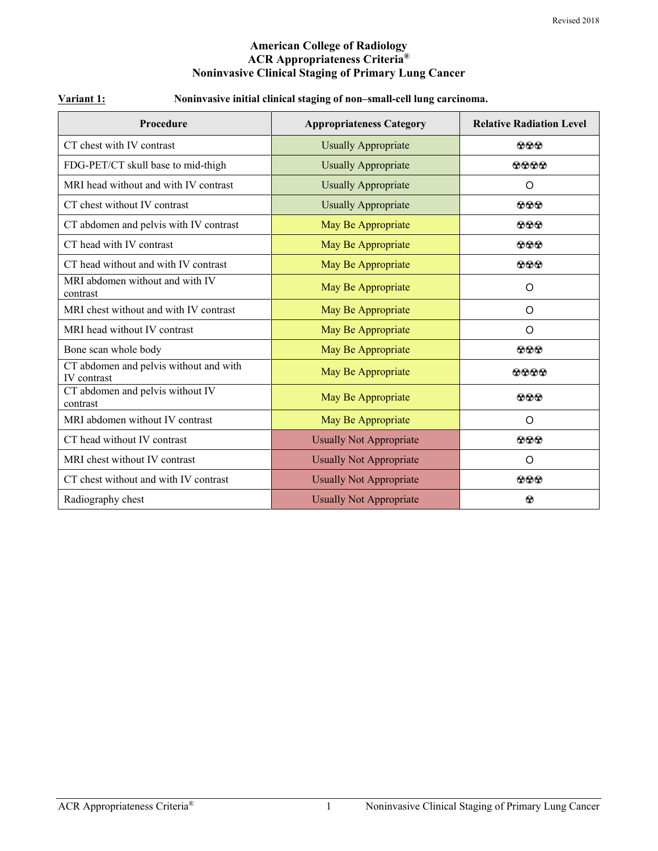#### **American College of Radiology ACR Appropriateness Criteria® Noninvasive Clinical Staging of Primary Lung Cancer**

#### **Variant 1: Noninvasive initial clinical staging of non–small-cell lung carcinoma.**

| <b>Procedure</b>                                             | <b>Appropriateness Category</b> | <b>Relative Radiation Level</b> |
|--------------------------------------------------------------|---------------------------------|---------------------------------|
| CT chest with IV contrast                                    | <b>Usually Appropriate</b>      | $\bf{O} \bf{O} \bf{O}$          |
| FDG-PET/CT skull base to mid-thigh                           | <b>Usually Appropriate</b>      | 0000                            |
| MRI head without and with IV contrast                        | <b>Usually Appropriate</b>      | O                               |
| CT chest without IV contrast                                 | <b>Usually Appropriate</b>      | $\odot\odot\odot$               |
| CT abdomen and pelvis with IV contrast                       | May Be Appropriate              | $\bf{O} \bf{O} \bf{O}$          |
| CT head with IV contrast                                     | May Be Appropriate              | $\bf{999}$                      |
| CT head without and with IV contrast                         | May Be Appropriate              | $\odot\odot\odot$               |
| MRI abdomen without and with IV<br>contrast                  | May Be Appropriate              | O                               |
| MRI chest without and with IV contrast                       | May Be Appropriate              | O                               |
| MRI head without IV contrast                                 | May Be Appropriate              | O                               |
| Bone scan whole body                                         | May Be Appropriate              | $\bf{O} \bf{O} \bf{O}$          |
| CT abdomen and pelvis without and with<br><b>IV</b> contrast | May Be Appropriate              | 0000                            |
| CT abdomen and pelvis without IV<br>contrast                 | May Be Appropriate              | $\odot\odot\odot$               |
| MRI abdomen without IV contrast                              | May Be Appropriate              | O                               |
| CT head without IV contrast                                  | <b>Usually Not Appropriate</b>  | 000                             |
| MRI chest without IV contrast                                | <b>Usually Not Appropriate</b>  | $\circ$                         |
| CT chest without and with IV contrast                        | <b>Usually Not Appropriate</b>  | $\odot \odot \odot$             |
| Radiography chest                                            | Usually Not Appropriate         | ⊛                               |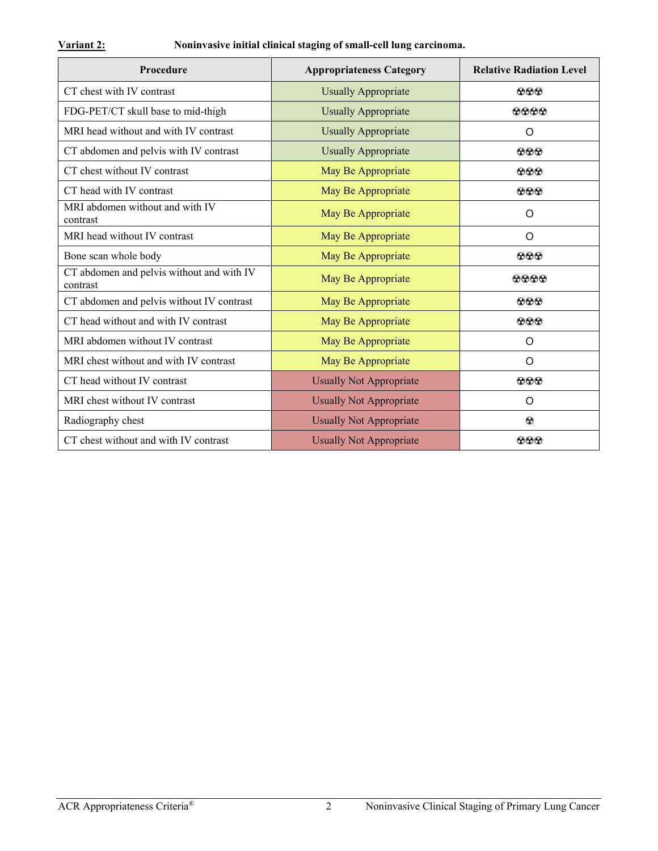# **Variant 2: Noninvasive initial clinical staging of small-cell lung carcinoma.**

| <b>Procedure</b>                                      | <b>Appropriateness Category</b> | <b>Relative Radiation Level</b> |
|-------------------------------------------------------|---------------------------------|---------------------------------|
| CT chest with IV contrast                             | <b>Usually Appropriate</b>      | $\odot\odot\odot$               |
| FDG-PET/CT skull base to mid-thigh                    | <b>Usually Appropriate</b>      | $\Omega$ $\Omega$ $\Omega$      |
| MRI head without and with IV contrast                 | <b>Usually Appropriate</b>      | O                               |
| CT abdomen and pelvis with IV contrast                | <b>Usually Appropriate</b>      | $\odot$ $\odot$                 |
| CT chest without IV contrast                          | May Be Appropriate              | $\bf{O} \bf{O} \bf{O}$          |
| CT head with IV contrast                              | May Be Appropriate              | $\odot \odot \odot$             |
| MRI abdomen without and with IV<br>contrast           | May Be Appropriate              | O                               |
| MRI head without IV contrast                          | May Be Appropriate              | O                               |
| Bone scan whole body                                  | May Be Appropriate              | $\odot$ $\odot$                 |
| CT abdomen and pelvis without and with IV<br>contrast | May Be Appropriate              | 0000                            |
| CT abdomen and pelvis without IV contrast             | May Be Appropriate              | $\bf{O} \bf{O} \bf{O}$          |
| CT head without and with IV contrast                  | May Be Appropriate              | 000                             |
| MRI abdomen without IV contrast                       | May Be Appropriate              | $\circ$                         |
| MRI chest without and with IV contrast                | May Be Appropriate              | $\circ$                         |
| CT head without IV contrast                           | <b>Usually Not Appropriate</b>  | $\Omega$ $\Omega$ $\Omega$      |
| MRI chest without IV contrast                         | <b>Usually Not Appropriate</b>  | O                               |
| Radiography chest                                     | <b>Usually Not Appropriate</b>  | $\odot$                         |
| CT chest without and with IV contrast                 | Usually Not Appropriate         | $\Omega$ $\Omega$               |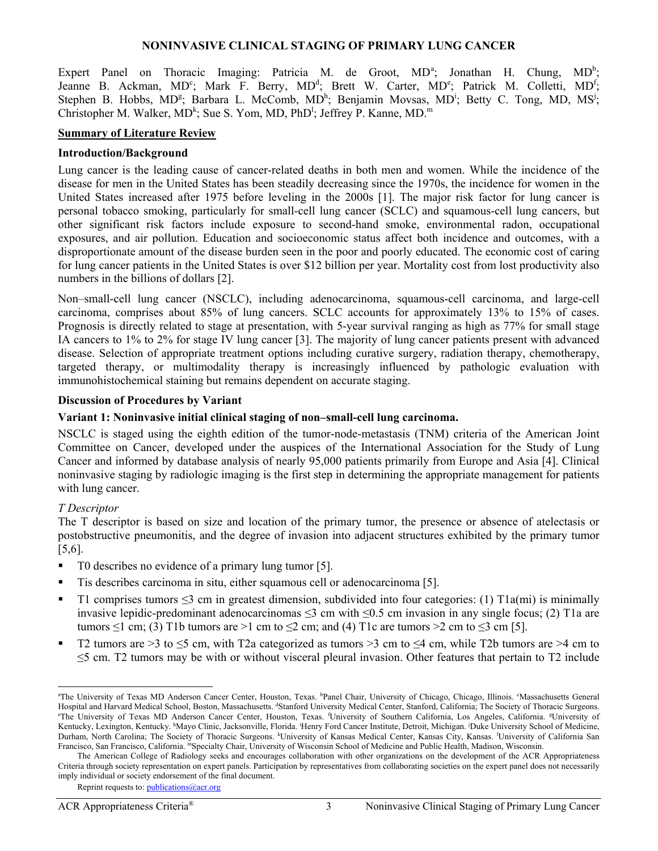#### **NONINVASIVE CLINICAL STAGING OF PRIMARY LUNG CANCER**

Expert P[a](#page-2-0)nel on Thoracic Imaging: Patricia M. de Groot,  $MD^a$ ; Jonathan H. Chung,  $MD^b$ ; Jeanne B. Ackman, MD<sup>c</sup>; Mark F. Berry, MD<sup>d</sup>; Brett W. Carter, MD<sup>e</sup>; Patrick M. Colletti, MD<sup>f</sup>; Stephen B. Hobbs, MD<sup>g</sup>; Barbara L. McComb, MD<sup>h</sup>; Benjamin Movsas, MD<sup>i</sup>; Betty C. Tong, MD, MS<sup>j</sup>; Christopher M. Walker, MD<sup>k</sup>; Sue S. Yom, MD, PhD<sup>1</sup>; Jeffrey P. Kanne, MD.<sup>m</sup>

#### **Summary of Literature Review**

#### **Introduction/Background**

Lung cancer is the leading cause of cancer-related deaths in both men and women. While the incidence of the disease for men in the United States has been steadily decreasing since the 1970s, the incidence for women in the United States increased after 1975 before leveling in the 2000s [\[1\]](#page-10-0). The major risk factor for lung cancer is personal tobacco smoking, particularly for small-cell lung cancer (SCLC) and squamous-cell lung cancers, but other significant risk factors include exposure to second-hand smoke, environmental radon, occupational exposures, and air pollution. Education and socioeconomic status affect both incidence and outcomes, with a disproportionate amount of the disease burden seen in the poor and poorly educated. The economic cost of caring for lung cancer patients in the United States is over \$12 billion per year. Mortality cost from lost productivity also numbers in the billions of dollars [\[2\]](#page-10-1).

Non–small-cell lung cancer (NSCLC), including adenocarcinoma, squamous-cell carcinoma, and large-cell carcinoma, comprises about 85% of lung cancers. SCLC accounts for approximately 13% to 15% of cases. Prognosis is directly related to stage at presentation, with 5-year survival ranging as high as 77% for small stage IA cancers to 1% to 2% for stage IV lung cancer [\[3\]](#page-11-0). The majority of lung cancer patients present with advanced disease. Selection of appropriate treatment options including curative surgery, radiation therapy, chemotherapy, targeted therapy, or multimodality therapy is increasingly influenced by pathologic evaluation with immunohistochemical staining but remains dependent on accurate staging.

#### **Discussion of Procedures by Variant**

#### **Variant 1: Noninvasive initial clinical staging of non–small-cell lung carcinoma.**

NSCLC is staged using the eighth edition of the tumor-node-metastasis (TNM) criteria of the American Joint Committee on Cancer, developed under the auspices of the International Association for the Study of Lung Cancer and informed by database analysis of nearly 95,000 patients primarily from Europe and Asia [\[4\]](#page-11-1). Clinical noninvasive staging by radiologic imaging is the first step in determining the appropriate management for patients with lung cancer.

#### *T Descriptor*

The T descriptor is based on size and location of the primary tumor, the presence or absence of atelectasis or postobstructive pneumonitis, and the degree of invasion into adjacent structures exhibited by the primary tumor [\[5,](#page-11-2)[6\]](#page-11-3).

- T0 describes no evidence of a primary lung tumor [\[5\]](#page-11-2).
- Tis describes carcinoma in situ, either squamous cell or adenocarcinoma [\[5\]](#page-11-2).
- T1 comprises tumors  $\leq$ 3 cm in greatest dimension, subdivided into four categories: (1) T1a(mi) is minimally invasive lepidic-predominant adenocarcinomas  $\leq$ 3 cm with  $\leq$ 0.5 cm invasion in any single focus; (2) T1a are tumors  $\leq 1$  cm; (3) T1b tumors are >1 cm to  $\leq 2$  cm; and (4) T1c are tumors >2 cm to  $\leq 3$  cm [\[5\]](#page-11-2).
- T2 tumors are  $>3$  to  $\leq$ 5 cm, with T2a categorized as tumors  $>3$  cm to  $\leq$ 4 cm, while T2b tumors are  $\geq$ 4 cm to ≤5 cm. T2 tumors may be with or without visceral pleural invasion. Other features that pertain to T2 include

<span id="page-2-0"></span>a The University of Texas MD Anderson Cancer Center, Houston, Texas. <sup>b</sup>Panel Chair, University of Chicago, Chicago, Illinois. °Massachusetts General Hospital and Harvard Medical School, Boston, Massachusetts. <sup>d</sup>Stanford University Medical Center, Stanford, California; The Society of Thoracic Surgeons.<br>The University of Taxes MD, Anderson Cancer Center, Houston, Taxes, The University of Texas MD Anderson Cancer Center, Houston, Texas. <sup>f</sup>University of Southern California, Los Angeles, California. <sup>g</sup>University of Kentucky, Lexington, Kentucky. <sup>h</sup>Mayo Clinic, Jacksonville, Florida. Henry Ford Cancer Institute, Detroit, Michigan. <sup>j</sup>Duke University School of Medicine, Durham, North Carolina; The Society of Thoracic Surgeons. KUniversity of Kansas Medical Center, Kansas City, Kansas. University of California San Francisco, San Francisco, California. mSpecialty Chair, University of Wisconsin School of Medicine and Public Health, Madison, Wisconsin.

The American College of Radiology seeks and encourages collaboration with other organizations on the development of the ACR Appropriateness Criteria through society representation on expert panels. Participation by representatives from collaborating societies on the expert panel does not necessarily imply individual or society endorsement of the final document.

Reprint requests to[: publications@acr.org](mailto:publications@acr.org)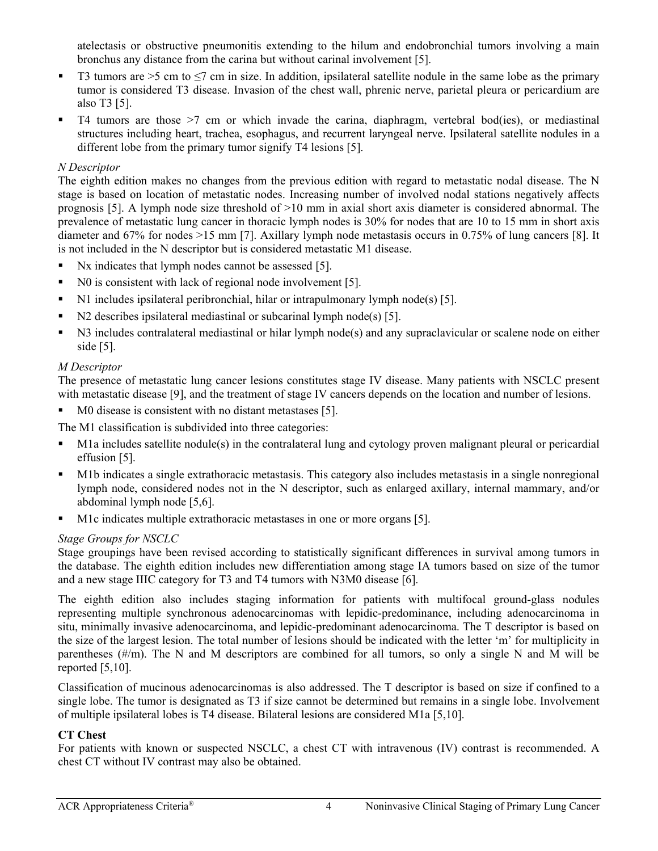atelectasis or obstructive pneumonitis extending to the hilum and endobronchial tumors involving a main bronchus any distance from the carina but without carinal involvement [\[5\]](#page-11-2).

- T3 tumors are  $>5$  cm to  $\leq$ 7 cm in size. In addition, ipsilateral satellite nodule in the same lobe as the primary tumor is considered T3 disease. Invasion of the chest wall, phrenic nerve, parietal pleura or pericardium are also T3 [\[5\]](#page-11-2).
- $\blacksquare$  T4 tumors are those  $\gt$ 7 cm or which invade the carina, diaphragm, vertebral bod(ies), or mediastinal structures including heart, trachea, esophagus, and recurrent laryngeal nerve. Ipsilateral satellite nodules in a different lobe from the primary tumor signify T4 lesions [\[5\]](#page-11-2).

# *N Descriptor*

The eighth edition makes no changes from the previous edition with regard to metastatic nodal disease. The N stage is based on location of metastatic nodes. Increasing number of involved nodal stations negatively affects prognosis [\[5\]](#page-11-2). A lymph node size threshold of >10 mm in axial short axis diameter is considered abnormal. The prevalence of metastatic lung cancer in thoracic lymph nodes is 30% for nodes that are 10 to 15 mm in short axis diameter and 67% for nodes >15 mm [\[7\]](#page-11-4). Axillary lymph node metastasis occurs in 0.75% of lung cancers [\[8\]](#page-11-5). It is not included in the N descriptor but is considered metastatic M1 disease.

- Nx indicates that lymph nodes cannot be assessed [\[5\]](#page-11-2).
- No is consistent with lack of regional node involvement [\[5\]](#page-11-2).
- N1 includes ipsilateral peribronchial, hilar or intrapulmonary lymph node(s) [\[5\]](#page-11-2).
- N2 describes ipsilateral mediastinal or subcarinal lymph node(s) [\[5\]](#page-11-2).
- N3 includes contralateral mediastinal or hilar lymph node(s) and any supraclavicular or scalene node on either side [\[5\]](#page-11-2).

# *M Descriptor*

The presence of metastatic lung cancer lesions constitutes stage IV disease. Many patients with NSCLC present with metastatic disease [\[9\]](#page-11-6), and the treatment of stage IV cancers depends on the location and number of lesions.

M0 disease is consistent with no distant metastases [\[5\]](#page-11-2).

The M1 classification is subdivided into three categories:

- M1a includes satellite nodule(s) in the contralateral lung and cytology proven malignant pleural or pericardial effusion [\[5\]](#page-11-2).
- M1b indicates a single extrathoracic metastasis. This category also includes metastasis in a single nonregional lymph node, considered nodes not in the N descriptor, such as enlarged axillary, internal mammary, and/or abdominal lymph node [\[5,](#page-11-2)[6\]](#page-11-3).
- M1c indicates multiple extrathoracic metastases in one or more organs [\[5\]](#page-11-2).

## *Stage Groups for NSCLC*

Stage groupings have been revised according to statistically significant differences in survival among tumors in the database. The eighth edition includes new differentiation among stage IA tumors based on size of the tumor and a new stage IIIC category for T3 and T4 tumors with N3M0 disease [\[6\]](#page-11-3).

The eighth edition also includes staging information for patients with multifocal ground-glass nodules representing multiple synchronous adenocarcinomas with lepidic-predominance, including adenocarcinoma in situ, minimally invasive adenocarcinoma, and lepidic-predominant adenocarcinoma. The T descriptor is based on the size of the largest lesion. The total number of lesions should be indicated with the letter 'm' for multiplicity in parentheses (#/m). The N and M descriptors are combined for all tumors, so only a single N and M will be reported [\[5,](#page-11-2)[10\]](#page-11-7).

Classification of mucinous adenocarcinomas is also addressed. The T descriptor is based on size if confined to a single lobe. The tumor is designated as T3 if size cannot be determined but remains in a single lobe. Involvement of multiple ipsilateral lobes is T4 disease. Bilateral lesions are considered M1a [\[5,](#page-11-2)[10\]](#page-11-7).

## **CT Chest**

For patients with known or suspected NSCLC, a chest CT with intravenous (IV) contrast is recommended. A chest CT without IV contrast may also be obtained.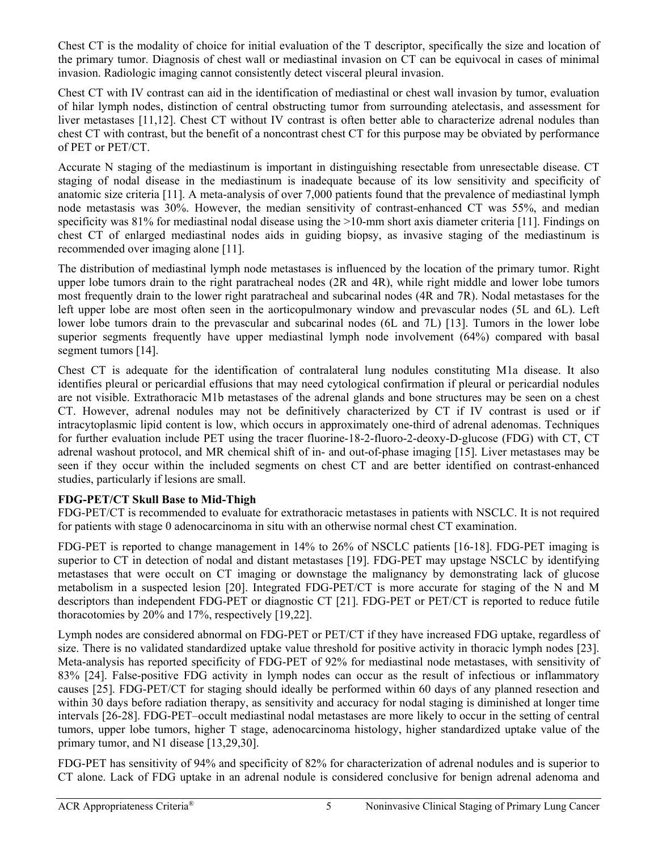Chest CT is the modality of choice for initial evaluation of the T descriptor, specifically the size and location of the primary tumor. Diagnosis of chest wall or mediastinal invasion on CT can be equivocal in cases of minimal invasion. Radiologic imaging cannot consistently detect visceral pleural invasion.

Chest CT with IV contrast can aid in the identification of mediastinal or chest wall invasion by tumor, evaluation of hilar lymph nodes, distinction of central obstructing tumor from surrounding atelectasis, and assessment for liver metastases [\[11](#page-11-8)[,12\]](#page-11-9). Chest CT without IV contrast is often better able to characterize adrenal nodules than chest CT with contrast, but the benefit of a noncontrast chest CT for this purpose may be obviated by performance of PET or PET/CT.

Accurate N staging of the mediastinum is important in distinguishing resectable from unresectable disease. CT staging of nodal disease in the mediastinum is inadequate because of its low sensitivity and specificity of anatomic size criteria [\[11\]](#page-11-8). A meta-analysis of over 7,000 patients found that the prevalence of mediastinal lymph node metastasis was 30%. However, the median sensitivity of contrast-enhanced CT was 55%, and median specificity was  $81\%$  for mediastinal nodal disease using the  $>10$ -mm short axis diameter criteria [\[11\]](#page-11-8). Findings on chest CT of enlarged mediastinal nodes aids in guiding biopsy, as invasive staging of the mediastinum is recommended over imaging alone [\[11\]](#page-11-8).

The distribution of mediastinal lymph node metastases is influenced by the location of the primary tumor. Right upper lobe tumors drain to the right paratracheal nodes (2R and 4R), while right middle and lower lobe tumors most frequently drain to the lower right paratracheal and subcarinal nodes (4R and 7R). Nodal metastases for the left upper lobe are most often seen in the aorticopulmonary window and prevascular nodes (5L and 6L). Left lower lobe tumors drain to the prevascular and subcarinal nodes (6L and 7L) [\[13\]](#page-11-10). Tumors in the lower lobe superior segments frequently have upper mediastinal lymph node involvement (64%) compared with basal segment tumors [\[14\]](#page-11-11).

Chest CT is adequate for the identification of contralateral lung nodules constituting M1a disease. It also identifies pleural or pericardial effusions that may need cytological confirmation if pleural or pericardial nodules are not visible. Extrathoracic M1b metastases of the adrenal glands and bone structures may be seen on a chest CT. However, adrenal nodules may not be definitively characterized by CT if IV contrast is used or if intracytoplasmic lipid content is low, which occurs in approximately one-third of adrenal adenomas. Techniques for further evaluation include PET using the tracer fluorine-18-2-fluoro-2-deoxy-D-glucose (FDG) with CT, CT adrenal washout protocol, and MR chemical shift of in- and out-of-phase imaging [\[15\]](#page-11-12). Liver metastases may be seen if they occur within the included segments on chest CT and are better identified on contrast-enhanced studies, particularly if lesions are small.

# **FDG-PET/CT Skull Base to Mid-Thigh**

FDG-PET/CT is recommended to evaluate for extrathoracic metastases in patients with NSCLC. It is not required for patients with stage 0 adenocarcinoma in situ with an otherwise normal chest CT examination.

FDG-PET is reported to change management in 14% to 26% of NSCLC patients [\[16-18\]](#page-11-13). FDG-PET imaging is superior to CT in detection of nodal and distant metastases [\[19\]](#page-11-14). FDG-PET may upstage NSCLC by identifying metastases that were occult on CT imaging or downstage the malignancy by demonstrating lack of glucose metabolism in a suspected lesion [\[20\]](#page-11-15). Integrated FDG-PET/CT is more accurate for staging of the N and M descriptors than independent FDG-PET or diagnostic CT [\[21\]](#page-11-16). FDG-PET or PET/CT is reported to reduce futile thoracotomies by 20% and 17%, respectively [\[19,](#page-11-14)[22\]](#page-11-17).

Lymph nodes are considered abnormal on FDG-PET or PET/CT if they have increased FDG uptake, regardless of size. There is no validated standardized uptake value threshold for positive activity in thoracic lymph nodes [\[23\]](#page-11-18). Meta-analysis has reported specificity of FDG-PET of 92% for mediastinal node metastases, with sensitivity of 83% [\[24\]](#page-11-19). False-positive FDG activity in lymph nodes can occur as the result of infectious or inflammatory causes [\[25\]](#page-12-0). FDG-PET/CT for staging should ideally be performed within 60 days of any planned resection and within 30 days before radiation therapy, as sensitivity and accuracy for nodal staging is diminished at longer time intervals [\[26-28\]](#page-12-1). FDG-PET–occult mediastinal nodal metastases are more likely to occur in the setting of central tumors, upper lobe tumors, higher T stage, adenocarcinoma histology, higher standardized uptake value of the primary tumor, and N1 disease [\[13,](#page-11-10)[29,](#page-12-2)[30\]](#page-12-3).

FDG-PET has sensitivity of 94% and specificity of 82% for characterization of adrenal nodules and is superior to CT alone. Lack of FDG uptake in an adrenal nodule is considered conclusive for benign adrenal adenoma and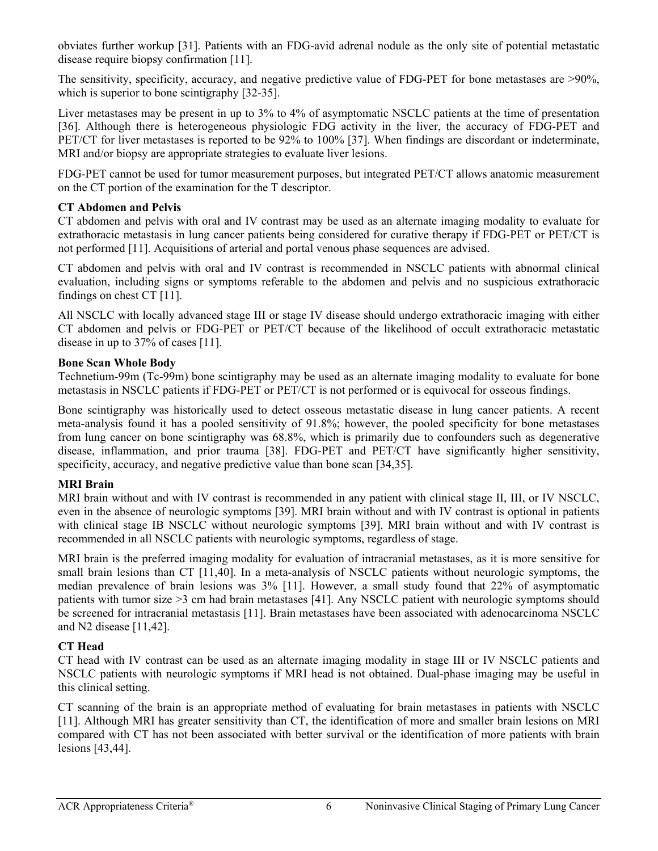obviates further workup [\[31\]](#page-12-4). Patients with an FDG-avid adrenal nodule as the only site of potential metastatic disease require biopsy confirmation [\[11\]](#page-11-8).

The sensitivity, specificity, accuracy, and negative predictive value of FDG-PET for bone metastases are >90%, which is superior to bone scintigraphy [\[32-35\]](#page-12-5).

Liver metastases may be present in up to 3% to 4% of asymptomatic NSCLC patients at the time of presentation [\[36\]](#page-12-6). Although there is heterogeneous physiologic FDG activity in the liver, the accuracy of FDG-PET and PET/CT for liver metastases is reported to be 92% to 100% [\[37\]](#page-12-7). When findings are discordant or indeterminate, MRI and/or biopsy are appropriate strategies to evaluate liver lesions.

FDG-PET cannot be used for tumor measurement purposes, but integrated PET/CT allows anatomic measurement on the CT portion of the examination for the T descriptor.

## **CT Abdomen and Pelvis**

CT abdomen and pelvis with oral and IV contrast may be used as an alternate imaging modality to evaluate for extrathoracic metastasis in lung cancer patients being considered for curative therapy if FDG-PET or PET/CT is not performed [\[11\]](#page-11-8). Acquisitions of arterial and portal venous phase sequences are advised.

CT abdomen and pelvis with oral and IV contrast is recommended in NSCLC patients with abnormal clinical evaluation, including signs or symptoms referable to the abdomen and pelvis and no suspicious extrathoracic findings on chest CT [\[11\]](#page-11-8).

All NSCLC with locally advanced stage III or stage IV disease should undergo extrathoracic imaging with either CT abdomen and pelvis or FDG-PET or PET/CT because of the likelihood of occult extrathoracic metastatic disease in up to 37% of cases [\[11\]](#page-11-8).

#### **Bone Scan Whole Body**

Technetium-99m (Tc-99m) bone scintigraphy may be used as an alternate imaging modality to evaluate for bone metastasis in NSCLC patients if FDG-PET or PET/CT is not performed or is equivocal for osseous findings.

Bone scintigraphy was historically used to detect osseous metastatic disease in lung cancer patients. A recent meta-analysis found it has a pooled sensitivity of 91.8%; however, the pooled specificity for bone metastases from lung cancer on bone scintigraphy was 68.8%, which is primarily due to confounders such as degenerative disease, inflammation, and prior trauma [\[38\]](#page-12-8). FDG-PET and PET/CT have significantly higher sensitivity, specificity, accuracy, and negative predictive value than bone scan [\[34,](#page-12-9)[35\]](#page-12-10).

## **MRI Brain**

MRI brain without and with IV contrast is recommended in any patient with clinical stage II, III, or IV NSCLC, even in the absence of neurologic symptoms [\[39\]](#page-12-11). MRI brain without and with IV contrast is optional in patients with clinical stage IB NSCLC without neurologic symptoms [\[39\]](#page-12-11). MRI brain without and with IV contrast is recommended in all NSCLC patients with neurologic symptoms, regardless of stage.

MRI brain is the preferred imaging modality for evaluation of intracranial metastases, as it is more sensitive for small brain lesions than CT [\[11](#page-11-8)[,40\]](#page-12-12). In a meta-analysis of NSCLC patients without neurologic symptoms, the median prevalence of brain lesions was 3% [\[11\]](#page-11-8). However, a small study found that 22% of asymptomatic patients with tumor size >3 cm had brain metastases [\[41\]](#page-12-13). Any NSCLC patient with neurologic symptoms should be screened for intracranial metastasis [\[11\]](#page-11-8). Brain metastases have been associated with adenocarcinoma NSCLC and N2 disease [\[11,](#page-11-8)[42\]](#page-12-14).

## **CT Head**

CT head with IV contrast can be used as an alternate imaging modality in stage III or IV NSCLC patients and NSCLC patients with neurologic symptoms if MRI head is not obtained. Dual-phase imaging may be useful in this clinical setting.

CT scanning of the brain is an appropriate method of evaluating for brain metastases in patients with NSCLC [\[11\]](#page-11-8). Although MRI has greater sensitivity than CT, the identification of more and smaller brain lesions on MRI compared with CT has not been associated with better survival or the identification of more patients with brain lesions [\[43](#page-12-15)[,44\]](#page-12-16).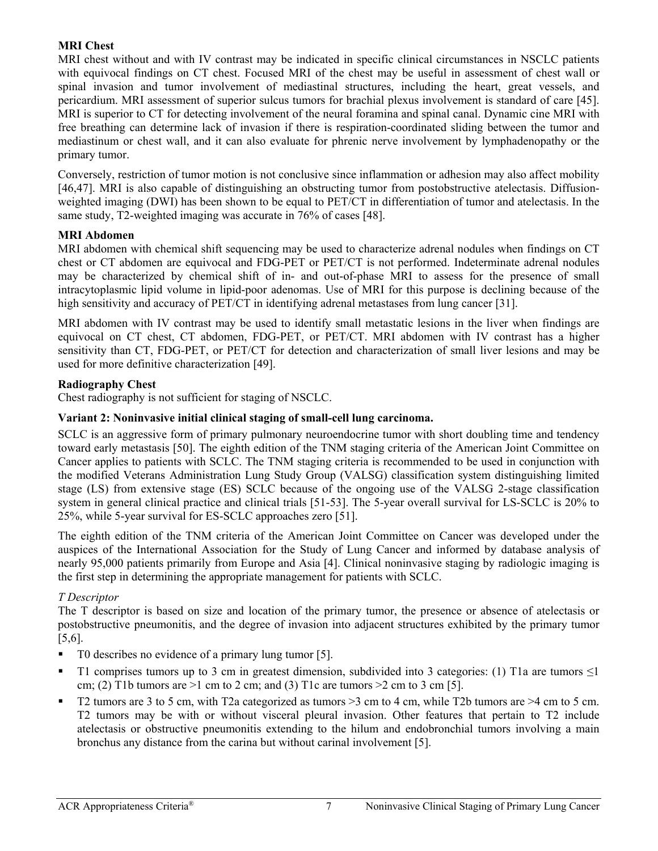## **MRI Chest**

MRI chest without and with IV contrast may be indicated in specific clinical circumstances in NSCLC patients with equivocal findings on CT chest. Focused MRI of the chest may be useful in assessment of chest wall or spinal invasion and tumor involvement of mediastinal structures, including the heart, great vessels, and pericardium. MRI assessment of superior sulcus tumors for brachial plexus involvement is standard of care [\[45\]](#page-12-17). MRI is superior to CT for detecting involvement of the neural foramina and spinal canal. Dynamic cine MRI with free breathing can determine lack of invasion if there is respiration-coordinated sliding between the tumor and mediastinum or chest wall, and it can also evaluate for phrenic nerve involvement by lymphadenopathy or the primary tumor.

Conversely, restriction of tumor motion is not conclusive since inflammation or adhesion may also affect mobility [\[46,](#page-12-18)[47\]](#page-13-0). MRI is also capable of distinguishing an obstructing tumor from postobstructive atelectasis. Diffusionweighted imaging (DWI) has been shown to be equal to PET/CT in differentiation of tumor and atelectasis. In the same study, T2-weighted imaging was accurate in 76% of cases [\[48\]](#page-13-1).

#### **MRI Abdomen**

MRI abdomen with chemical shift sequencing may be used to characterize adrenal nodules when findings on CT chest or CT abdomen are equivocal and FDG-PET or PET/CT is not performed. Indeterminate adrenal nodules may be characterized by chemical shift of in- and out-of-phase MRI to assess for the presence of small intracytoplasmic lipid volume in lipid-poor adenomas. Use of MRI for this purpose is declining because of the high sensitivity and accuracy of PET/CT in identifying adrenal metastases from lung cancer [\[31\]](#page-12-4).

MRI abdomen with IV contrast may be used to identify small metastatic lesions in the liver when findings are equivocal on CT chest, CT abdomen, FDG-PET, or PET/CT. MRI abdomen with IV contrast has a higher sensitivity than CT, FDG-PET, or PET/CT for detection and characterization of small liver lesions and may be used for more definitive characterization [\[49\]](#page-13-2).

#### **Radiography Chest**

Chest radiography is not sufficient for staging of NSCLC.

## **Variant 2: Noninvasive initial clinical staging of small-cell lung carcinoma.**

SCLC is an aggressive form of primary pulmonary neuroendocrine tumor with short doubling time and tendency toward early metastasis [\[50\]](#page-13-3). The eighth edition of the TNM staging criteria of the American Joint Committee on Cancer applies to patients with SCLC. The TNM staging criteria is recommended to be used in conjunction with the modified Veterans Administration Lung Study Group (VALSG) classification system distinguishing limited stage (LS) from extensive stage (ES) SCLC because of the ongoing use of the VALSG 2-stage classification system in general clinical practice and clinical trials [\[51-53\]](#page-13-4). The 5-year overall survival for LS-SCLC is 20% to 25%, while 5-year survival for ES-SCLC approaches zero [\[51\]](#page-13-4).

The eighth edition of the TNM criteria of the American Joint Committee on Cancer was developed under the auspices of the International Association for the Study of Lung Cancer and informed by database analysis of nearly 95,000 patients primarily from Europe and Asia [\[4\]](#page-11-1). Clinical noninvasive staging by radiologic imaging is the first step in determining the appropriate management for patients with SCLC.

## *T Descriptor*

The T descriptor is based on size and location of the primary tumor, the presence or absence of atelectasis or postobstructive pneumonitis, and the degree of invasion into adjacent structures exhibited by the primary tumor [\[5,](#page-11-2)[6\]](#page-11-3).

- T0 describes no evidence of a primary lung tumor [\[5\]](#page-11-2).
- T1 comprises tumors up to 3 cm in greatest dimension, subdivided into 3 categories: (1) T1a are tumors  $\leq$ 1 cm; (2) T1b tumors are  $>1$  cm to 2 cm; and (3) T1c are tumors  $>2$  cm to 3 cm [\[5\]](#page-11-2).
- T2 tumors are 3 to 5 cm, with T2a categorized as tumors >3 cm to 4 cm, while T2b tumors are >4 cm to 5 cm. T2 tumors may be with or without visceral pleural invasion. Other features that pertain to T2 include atelectasis or obstructive pneumonitis extending to the hilum and endobronchial tumors involving a main bronchus any distance from the carina but without carinal involvement [\[5\]](#page-11-2).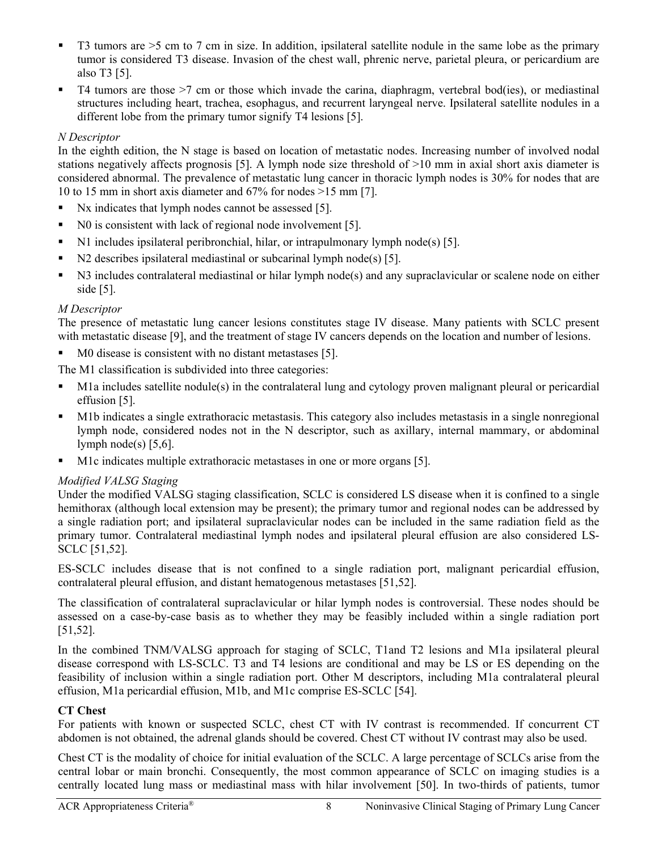- $\blacksquare$  T3 tumors are  $>5$  cm to 7 cm in size. In addition, ipsilateral satellite nodule in the same lobe as the primary tumor is considered T3 disease. Invasion of the chest wall, phrenic nerve, parietal pleura, or pericardium are also T3 [\[5\]](#page-11-2).
- $\blacksquare$  T4 tumors are those  $\gt$ 7 cm or those which invade the carina, diaphragm, vertebral bod(ies), or mediastinal structures including heart, trachea, esophagus, and recurrent laryngeal nerve. Ipsilateral satellite nodules in a different lobe from the primary tumor signify T4 lesions [\[5\]](#page-11-2).

# *N Descriptor*

In the eighth edition, the N stage is based on location of metastatic nodes. Increasing number of involved nodal stations negatively affects prognosis [\[5\]](#page-11-2). A lymph node size threshold of >10 mm in axial short axis diameter is considered abnormal. The prevalence of metastatic lung cancer in thoracic lymph nodes is 30% for nodes that are 10 to 15 mm in short axis diameter and 67% for nodes >15 mm [\[7\]](#page-11-4).

- Nx indicates that lymph nodes cannot be assessed [\[5\]](#page-11-2).
- No is consistent with lack of regional node involvement [\[5\]](#page-11-2).
- N1 includes ipsilateral peribronchial, hilar, or intrapulmonary lymph node(s) [\[5\]](#page-11-2).
- N2 describes ipsilateral mediastinal or subcarinal lymph node(s) [\[5\]](#page-11-2).
- N3 includes contralateral mediastinal or hilar lymph node(s) and any supraclavicular or scalene node on either side [\[5\]](#page-11-2).

## *M Descriptor*

The presence of metastatic lung cancer lesions constitutes stage IV disease. Many patients with SCLC present with metastatic disease [\[9\]](#page-11-6), and the treatment of stage IV cancers depends on the location and number of lesions.

M0 disease is consistent with no distant metastases [\[5\]](#page-11-2).

The M1 classification is subdivided into three categories:

- M1a includes satellite nodule(s) in the contralateral lung and cytology proven malignant pleural or pericardial effusion [\[5\]](#page-11-2).
- M1b indicates a single extrathoracic metastasis. This category also includes metastasis in a single nonregional lymph node, considered nodes not in the N descriptor, such as axillary, internal mammary, or abdominal lymph node(s)  $[5,6]$  $[5,6]$ .
- M1c indicates multiple extrathoracic metastases in one or more organs [\[5\]](#page-11-2).

## *Modified VALSG Staging*

Under the modified VALSG staging classification, SCLC is considered LS disease when it is confined to a single hemithorax (although local extension may be present); the primary tumor and regional nodes can be addressed by a single radiation port; and ipsilateral supraclavicular nodes can be included in the same radiation field as the primary tumor. Contralateral mediastinal lymph nodes and ipsilateral pleural effusion are also considered LS-SCLC [\[51](#page-13-4)[,52\]](#page-13-5).

ES-SCLC includes disease that is not confined to a single radiation port, malignant pericardial effusion, contralateral pleural effusion, and distant hematogenous metastases [\[51,](#page-13-4)[52\]](#page-13-5).

The classification of contralateral supraclavicular or hilar lymph nodes is controversial. These nodes should be assessed on a case-by-case basis as to whether they may be feasibly included within a single radiation port [\[51,](#page-13-4)[52\]](#page-13-5).

In the combined TNM/VALSG approach for staging of SCLC, T1and T2 lesions and M1a ipsilateral pleural disease correspond with LS-SCLC. T3 and T4 lesions are conditional and may be LS or ES depending on the feasibility of inclusion within a single radiation port. Other M descriptors, including M1a contralateral pleural effusion, M1a pericardial effusion, M1b, and M1c comprise ES-SCLC [\[54\]](#page-13-6).

#### **CT Chest**

For patients with known or suspected SCLC, chest CT with IV contrast is recommended. If concurrent CT abdomen is not obtained, the adrenal glands should be covered. Chest CT without IV contrast may also be used.

Chest CT is the modality of choice for initial evaluation of the SCLC. A large percentage of SCLCs arise from the central lobar or main bronchi. Consequently, the most common appearance of SCLC on imaging studies is a centrally located lung mass or mediastinal mass with hilar involvement [\[50\]](#page-13-3). In two-thirds of patients, tumor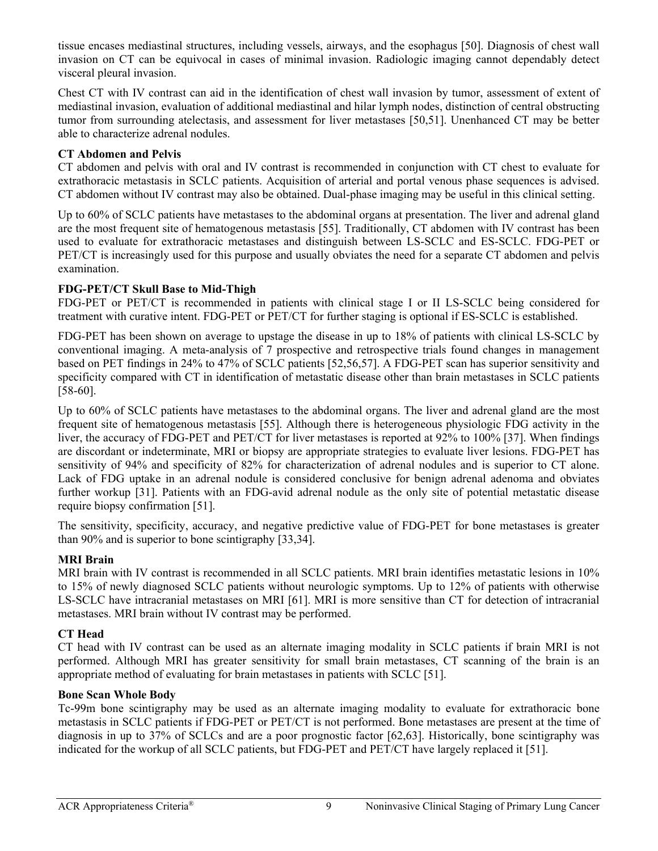tissue encases mediastinal structures, including vessels, airways, and the esophagus [\[50\]](#page-13-3). Diagnosis of chest wall invasion on CT can be equivocal in cases of minimal invasion. Radiologic imaging cannot dependably detect visceral pleural invasion.

Chest CT with IV contrast can aid in the identification of chest wall invasion by tumor, assessment of extent of mediastinal invasion, evaluation of additional mediastinal and hilar lymph nodes, distinction of central obstructing tumor from surrounding atelectasis, and assessment for liver metastases [\[50](#page-13-3)[,51\]](#page-13-4). Unenhanced CT may be better able to characterize adrenal nodules.

# **CT Abdomen and Pelvis**

CT abdomen and pelvis with oral and IV contrast is recommended in conjunction with CT chest to evaluate for extrathoracic metastasis in SCLC patients. Acquisition of arterial and portal venous phase sequences is advised. CT abdomen without IV contrast may also be obtained. Dual-phase imaging may be useful in this clinical setting.

Up to 60% of SCLC patients have metastases to the abdominal organs at presentation. The liver and adrenal gland are the most frequent site of hematogenous metastasis [\[55\]](#page-13-7). Traditionally, CT abdomen with IV contrast has been used to evaluate for extrathoracic metastases and distinguish between LS-SCLC and ES-SCLC. FDG-PET or PET/CT is increasingly used for this purpose and usually obviates the need for a separate CT abdomen and pelvis examination.

# **FDG-PET/CT Skull Base to Mid-Thigh**

FDG-PET or PET/CT is recommended in patients with clinical stage I or II LS-SCLC being considered for treatment with curative intent. FDG-PET or PET/CT for further staging is optional if ES-SCLC is established.

FDG-PET has been shown on average to upstage the disease in up to 18% of patients with clinical LS-SCLC by conventional imaging. A meta-analysis of 7 prospective and retrospective trials found changes in management based on PET findings in 24% to 47% of SCLC patients [\[52](#page-13-5)[,56,](#page-13-8)[57\]](#page-13-9). A FDG-PET scan has superior sensitivity and specificity compared with CT in identification of metastatic disease other than brain metastases in SCLC patients [\[58-60\]](#page-13-10).

Up to 60% of SCLC patients have metastases to the abdominal organs. The liver and adrenal gland are the most frequent site of hematogenous metastasis [\[55\]](#page-13-7). Although there is heterogeneous physiologic FDG activity in the liver, the accuracy of FDG-PET and PET/CT for liver metastases is reported at 92% to 100% [\[37\]](#page-12-7). When findings are discordant or indeterminate, MRI or biopsy are appropriate strategies to evaluate liver lesions. FDG-PET has sensitivity of 94% and specificity of 82% for characterization of adrenal nodules and is superior to CT alone. Lack of FDG uptake in an adrenal nodule is considered conclusive for benign adrenal adenoma and obviates further workup [\[31\]](#page-12-4). Patients with an FDG-avid adrenal nodule as the only site of potential metastatic disease require biopsy confirmation [\[51\]](#page-13-4).

The sensitivity, specificity, accuracy, and negative predictive value of FDG-PET for bone metastases is greater than 90% and is superior to bone scintigraphy [\[33,](#page-12-19)[34\]](#page-12-9).

# **MRI Brain**

MRI brain with IV contrast is recommended in all SCLC patients. MRI brain identifies metastatic lesions in 10% to 15% of newly diagnosed SCLC patients without neurologic symptoms. Up to 12% of patients with otherwise LS-SCLC have intracranial metastases on MRI [\[61\]](#page-13-11). MRI is more sensitive than CT for detection of intracranial metastases. MRI brain without IV contrast may be performed.

## **CT Head**

CT head with IV contrast can be used as an alternate imaging modality in SCLC patients if brain MRI is not performed. Although MRI has greater sensitivity for small brain metastases, CT scanning of the brain is an appropriate method of evaluating for brain metastases in patients with SCLC [\[51\]](#page-13-4).

## **Bone Scan Whole Body**

Tc-99m bone scintigraphy may be used as an alternate imaging modality to evaluate for extrathoracic bone metastasis in SCLC patients if FDG-PET or PET/CT is not performed. Bone metastases are present at the time of diagnosis in up to 37% of SCLCs and are a poor prognostic factor [\[62,](#page-13-12)[63\]](#page-13-13). Historically, bone scintigraphy was indicated for the workup of all SCLC patients, but FDG-PET and PET/CT have largely replaced it [\[51\]](#page-13-4).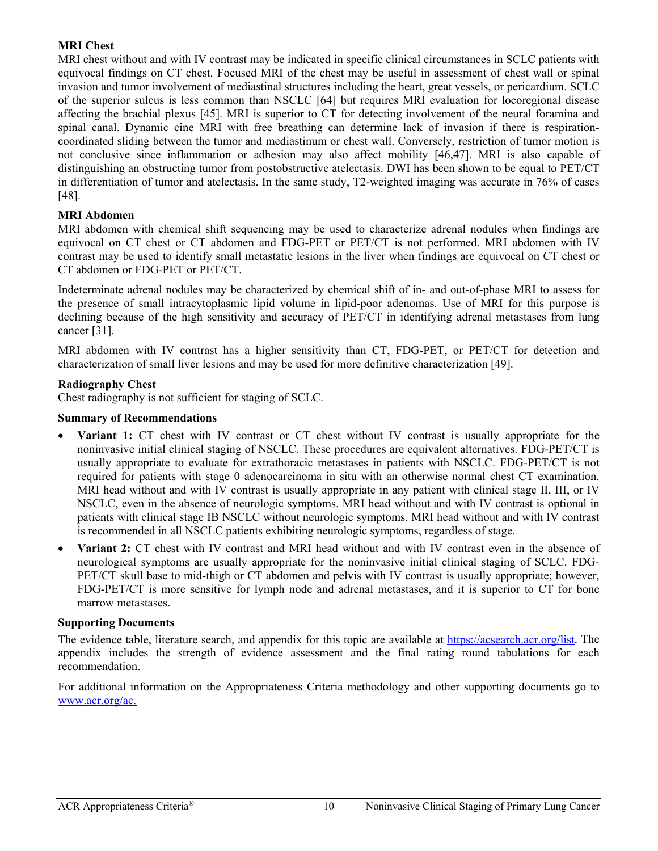#### **MRI Chest**

MRI chest without and with IV contrast may be indicated in specific clinical circumstances in SCLC patients with equivocal findings on CT chest. Focused MRI of the chest may be useful in assessment of chest wall or spinal invasion and tumor involvement of mediastinal structures including the heart, great vessels, or pericardium. SCLC of the superior sulcus is less common than NSCLC [\[64\]](#page-13-14) but requires MRI evaluation for locoregional disease affecting the brachial plexus [\[45\]](#page-12-17). MRI is superior to CT for detecting involvement of the neural foramina and spinal canal. Dynamic cine MRI with free breathing can determine lack of invasion if there is respirationcoordinated sliding between the tumor and mediastinum or chest wall. Conversely, restriction of tumor motion is not conclusive since inflammation or adhesion may also affect mobility [\[46](#page-12-18)[,47\]](#page-13-0). MRI is also capable of distinguishing an obstructing tumor from postobstructive atelectasis. DWI has been shown to be equal to PET/CT in differentiation of tumor and atelectasis. In the same study, T2-weighted imaging was accurate in 76% of cases [\[48\]](#page-13-1).

#### **MRI Abdomen**

MRI abdomen with chemical shift sequencing may be used to characterize adrenal nodules when findings are equivocal on CT chest or CT abdomen and FDG-PET or PET/CT is not performed. MRI abdomen with IV contrast may be used to identify small metastatic lesions in the liver when findings are equivocal on CT chest or CT abdomen or FDG-PET or PET/CT.

Indeterminate adrenal nodules may be characterized by chemical shift of in- and out-of-phase MRI to assess for the presence of small intracytoplasmic lipid volume in lipid-poor adenomas. Use of MRI for this purpose is declining because of the high sensitivity and accuracy of PET/CT in identifying adrenal metastases from lung cancer [\[31\]](#page-12-4).

MRI abdomen with IV contrast has a higher sensitivity than CT, FDG-PET, or PET/CT for detection and characterization of small liver lesions and may be used for more definitive characterization [\[49\]](#page-13-2).

#### **Radiography Chest**

Chest radiography is not sufficient for staging of SCLC.

#### **Summary of Recommendations**

- **Variant 1:** CT chest with IV contrast or CT chest without IV contrast is usually appropriate for the noninvasive initial clinical staging of NSCLC. These procedures are equivalent alternatives. FDG-PET/CT is usually appropriate to evaluate for extrathoracic metastases in patients with NSCLC. FDG-PET/CT is not required for patients with stage 0 adenocarcinoma in situ with an otherwise normal chest CT examination. MRI head without and with IV contrast is usually appropriate in any patient with clinical stage II, III, or IV NSCLC, even in the absence of neurologic symptoms. MRI head without and with IV contrast is optional in patients with clinical stage IB NSCLC without neurologic symptoms. MRI head without and with IV contrast is recommended in all NSCLC patients exhibiting neurologic symptoms, regardless of stage.
- **Variant 2:** CT chest with IV contrast and MRI head without and with IV contrast even in the absence of neurological symptoms are usually appropriate for the noninvasive initial clinical staging of SCLC. FDG-PET/CT skull base to mid-thigh or CT abdomen and pelvis with IV contrast is usually appropriate; however, FDG-PET/CT is more sensitive for lymph node and adrenal metastases, and it is superior to CT for bone marrow metastases.

#### **Supporting Documents**

The evidence table, literature search, and appendix for this topic are available at [https://acsearch.acr.org/list.](https://acsearch.acr.org/list) The appendix includes the strength of evidence assessment and the final rating round tabulations for each recommendation.

For additional information on the Appropriateness Criteria methodology and other supporting documents go to [www.acr.org/ac.](https://www.acr.org/Clinical-Resources/ACR-Appropriateness-Criteria)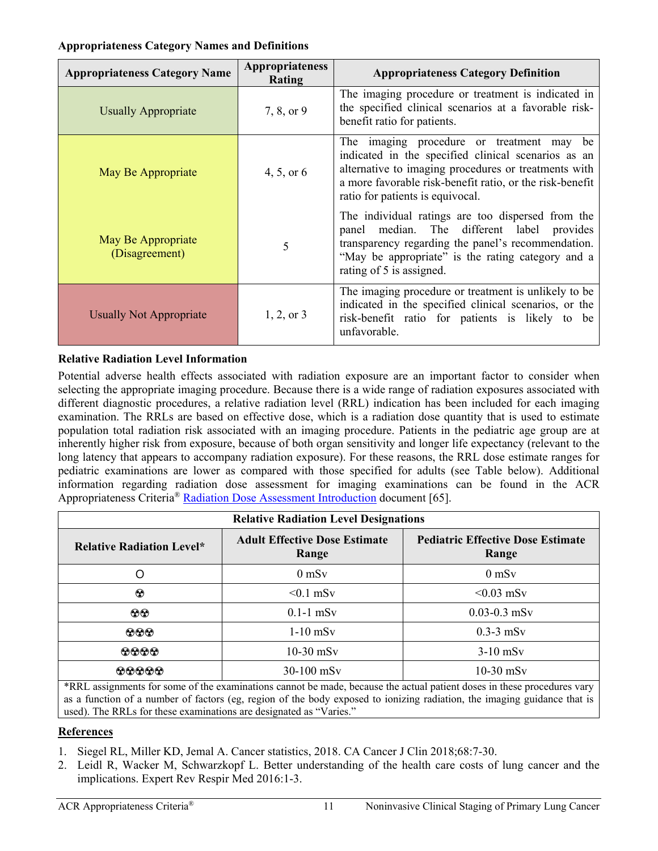#### **Appropriateness Category Names and Definitions**

| <b>Appropriateness Category Name</b> | <b>Appropriateness</b><br>Rating | <b>Appropriateness Category Definition</b>                                                                                                                                                                                                                  |
|--------------------------------------|----------------------------------|-------------------------------------------------------------------------------------------------------------------------------------------------------------------------------------------------------------------------------------------------------------|
| <b>Usually Appropriate</b>           | 7, 8, or 9                       | The imaging procedure or treatment is indicated in<br>the specified clinical scenarios at a favorable risk-<br>benefit ratio for patients.                                                                                                                  |
| May Be Appropriate                   | 4, 5, or 6                       | The imaging procedure or treatment may<br>be<br>indicated in the specified clinical scenarios as an<br>alternative to imaging procedures or treatments with<br>a more favorable risk-benefit ratio, or the risk-benefit<br>ratio for patients is equivocal. |
| May Be Appropriate<br>(Disagreement) | 5                                | The individual ratings are too dispersed from the<br>panel median. The different label provides<br>transparency regarding the panel's recommendation.<br>"May be appropriate" is the rating category and a<br>rating of 5 is assigned.                      |
| <b>Usually Not Appropriate</b>       | $1, 2,$ or 3                     | The imaging procedure or treatment is unlikely to be<br>indicated in the specified clinical scenarios, or the<br>risk-benefit ratio for patients is likely to be<br>unfavorable.                                                                            |

# **Relative Radiation Level Information**

Potential adverse health effects associated with radiation exposure are an important factor to consider when selecting the appropriate imaging procedure. Because there is a wide range of radiation exposures associated with different diagnostic procedures, a relative radiation level (RRL) indication has been included for each imaging examination. The RRLs are based on effective dose, which is a radiation dose quantity that is used to estimate population total radiation risk associated with an imaging procedure. Patients in the pediatric age group are at inherently higher risk from exposure, because of both organ sensitivity and longer life expectancy (relevant to the long latency that appears to accompany radiation exposure). For these reasons, the RRL dose estimate ranges for pediatric examinations are lower as compared with those specified for adults (see Table below). Additional information regarding radiation dose assessment for imaging examinations can be found in the ACR Appropriateness Criteria® [Radiation Dose Assessment Introduction](https://www.acr.org/-/media/ACR/Files/Appropriateness-Criteria/RadiationDoseAssessmentIntro.pdf) document [\[65\]](#page-13-15).

| <b>Relative Radiation Level Designations</b>                            |                                               |                                                   |  |  |
|-------------------------------------------------------------------------|-----------------------------------------------|---------------------------------------------------|--|--|
| <b>Relative Radiation Level*</b>                                        | <b>Adult Effective Dose Estimate</b><br>Range | <b>Pediatric Effective Dose Estimate</b><br>Range |  |  |
| O                                                                       | $0$ mS $v$                                    | $0$ mS $v$                                        |  |  |
| $\odot$                                                                 | $< 0.1$ mSv                                   | $< 0.03$ mSv                                      |  |  |
| $\odot\odot$                                                            | $0.1-1$ mSv                                   | $0.03 - 0.3$ mSv                                  |  |  |
| $\odot \odot \odot$                                                     | $1-10$ mSv                                    | $0.3-3$ mS <sub>v</sub>                           |  |  |
| $\odot\odot\odot$                                                       | $10-30$ mSv                                   | $3-10$ mS <sub>v</sub>                            |  |  |
| 00000<br>$\sim$ $\sim$<br>$\frac{1}{2}$ . The contract of $\frac{1}{2}$ | $30-100$ mS <sub>v</sub>                      | $10-30$ mSv                                       |  |  |

\*RRL assignments for some of the examinations cannot be made, because the actual patient doses in these procedures vary as a function of a number of factors (eg, region of the body exposed to ionizing radiation, the imaging guidance that is used). The RRLs for these examinations are designated as "Varies."

## **References**

- <span id="page-10-0"></span>1. Siegel RL, Miller KD, Jemal A. Cancer statistics, 2018. CA Cancer J Clin 2018;68:7-30.
- <span id="page-10-1"></span>2. Leidl R, Wacker M, Schwarzkopf L. Better understanding of the health care costs of lung cancer and the implications. Expert Rev Respir Med 2016:1-3.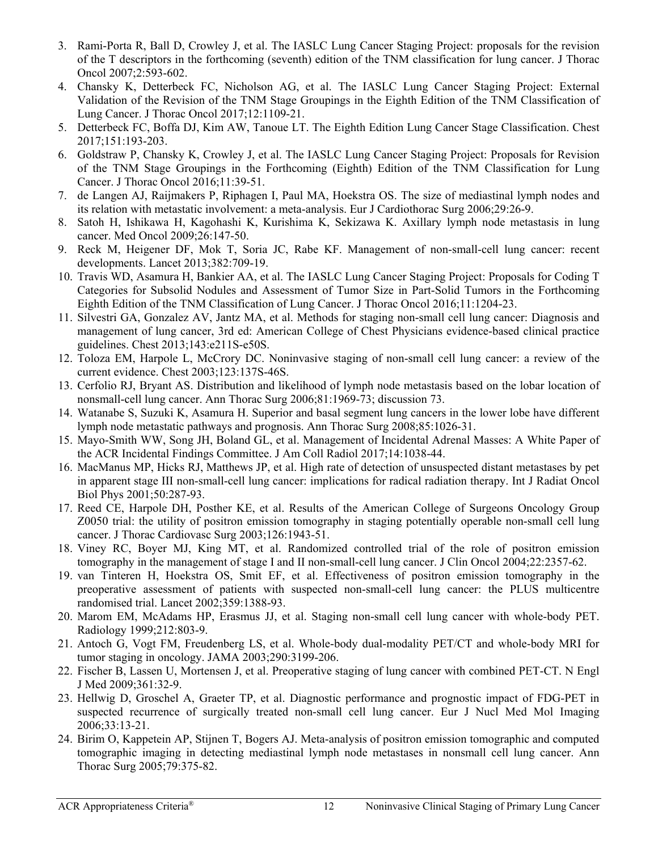- <span id="page-11-0"></span>3. Rami-Porta R, Ball D, Crowley J, et al. The IASLC Lung Cancer Staging Project: proposals for the revision of the T descriptors in the forthcoming (seventh) edition of the TNM classification for lung cancer. J Thorac Oncol 2007;2:593-602.
- <span id="page-11-1"></span>4. Chansky K, Detterbeck FC, Nicholson AG, et al. The IASLC Lung Cancer Staging Project: External Validation of the Revision of the TNM Stage Groupings in the Eighth Edition of the TNM Classification of Lung Cancer. J Thorac Oncol 2017;12:1109-21.
- <span id="page-11-2"></span>5. Detterbeck FC, Boffa DJ, Kim AW, Tanoue LT. The Eighth Edition Lung Cancer Stage Classification. Chest 2017;151:193-203.
- <span id="page-11-3"></span>6. Goldstraw P, Chansky K, Crowley J, et al. The IASLC Lung Cancer Staging Project: Proposals for Revision of the TNM Stage Groupings in the Forthcoming (Eighth) Edition of the TNM Classification for Lung Cancer. J Thorac Oncol 2016;11:39-51.
- <span id="page-11-4"></span>7. de Langen AJ, Raijmakers P, Riphagen I, Paul MA, Hoekstra OS. The size of mediastinal lymph nodes and its relation with metastatic involvement: a meta-analysis. Eur J Cardiothorac Surg 2006;29:26-9.
- <span id="page-11-5"></span>8. Satoh H, Ishikawa H, Kagohashi K, Kurishima K, Sekizawa K. Axillary lymph node metastasis in lung cancer. Med Oncol 2009;26:147-50.
- <span id="page-11-6"></span>9. Reck M, Heigener DF, Mok T, Soria JC, Rabe KF. Management of non-small-cell lung cancer: recent developments. Lancet 2013;382:709-19.
- <span id="page-11-7"></span>10. Travis WD, Asamura H, Bankier AA, et al. The IASLC Lung Cancer Staging Project: Proposals for Coding T Categories for Subsolid Nodules and Assessment of Tumor Size in Part-Solid Tumors in the Forthcoming Eighth Edition of the TNM Classification of Lung Cancer. J Thorac Oncol 2016;11:1204-23.
- <span id="page-11-8"></span>11. Silvestri GA, Gonzalez AV, Jantz MA, et al. Methods for staging non-small cell lung cancer: Diagnosis and management of lung cancer, 3rd ed: American College of Chest Physicians evidence-based clinical practice guidelines. Chest 2013;143:e211S-e50S.
- <span id="page-11-9"></span>12. Toloza EM, Harpole L, McCrory DC. Noninvasive staging of non-small cell lung cancer: a review of the current evidence. Chest 2003;123:137S-46S.
- <span id="page-11-10"></span>13. Cerfolio RJ, Bryant AS. Distribution and likelihood of lymph node metastasis based on the lobar location of nonsmall-cell lung cancer. Ann Thorac Surg 2006;81:1969-73; discussion 73.
- <span id="page-11-11"></span>14. Watanabe S, Suzuki K, Asamura H. Superior and basal segment lung cancers in the lower lobe have different lymph node metastatic pathways and prognosis. Ann Thorac Surg 2008;85:1026-31.
- <span id="page-11-12"></span>15. Mayo-Smith WW, Song JH, Boland GL, et al. Management of Incidental Adrenal Masses: A White Paper of the ACR Incidental Findings Committee. J Am Coll Radiol 2017;14:1038-44.
- <span id="page-11-13"></span>16. MacManus MP, Hicks RJ, Matthews JP, et al. High rate of detection of unsuspected distant metastases by pet in apparent stage III non-small-cell lung cancer: implications for radical radiation therapy. Int J Radiat Oncol Biol Phys 2001;50:287-93.
- 17. Reed CE, Harpole DH, Posther KE, et al. Results of the American College of Surgeons Oncology Group Z0050 trial: the utility of positron emission tomography in staging potentially operable non-small cell lung cancer. J Thorac Cardiovasc Surg 2003;126:1943-51.
- 18. Viney RC, Boyer MJ, King MT, et al. Randomized controlled trial of the role of positron emission tomography in the management of stage I and II non-small-cell lung cancer. J Clin Oncol 2004;22:2357-62.
- <span id="page-11-14"></span>19. van Tinteren H, Hoekstra OS, Smit EF, et al. Effectiveness of positron emission tomography in the preoperative assessment of patients with suspected non-small-cell lung cancer: the PLUS multicentre randomised trial. Lancet 2002;359:1388-93.
- <span id="page-11-15"></span>20. Marom EM, McAdams HP, Erasmus JJ, et al. Staging non-small cell lung cancer with whole-body PET. Radiology 1999;212:803-9.
- <span id="page-11-16"></span>21. Antoch G, Vogt FM, Freudenberg LS, et al. Whole-body dual-modality PET/CT and whole-body MRI for tumor staging in oncology. JAMA 2003;290:3199-206.
- <span id="page-11-17"></span>22. Fischer B, Lassen U, Mortensen J, et al. Preoperative staging of lung cancer with combined PET-CT. N Engl J Med 2009;361:32-9.
- <span id="page-11-18"></span>23. Hellwig D, Groschel A, Graeter TP, et al. Diagnostic performance and prognostic impact of FDG-PET in suspected recurrence of surgically treated non-small cell lung cancer. Eur J Nucl Med Mol Imaging 2006;33:13-21.
- <span id="page-11-19"></span>24. Birim O, Kappetein AP, Stijnen T, Bogers AJ. Meta-analysis of positron emission tomographic and computed tomographic imaging in detecting mediastinal lymph node metastases in nonsmall cell lung cancer. Ann Thorac Surg 2005;79:375-82.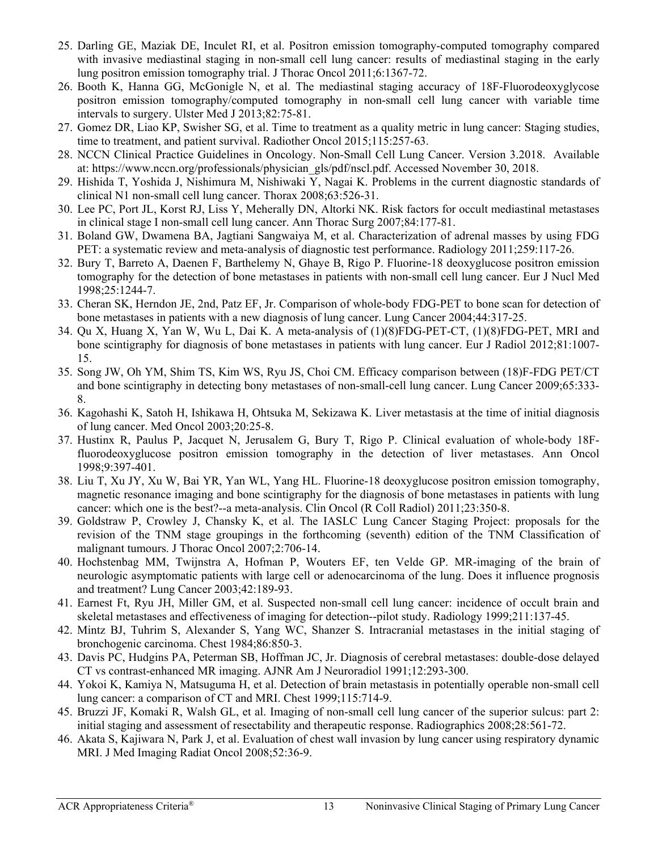- <span id="page-12-0"></span>25. Darling GE, Maziak DE, Inculet RI, et al. Positron emission tomography-computed tomography compared with invasive mediastinal staging in non-small cell lung cancer: results of mediastinal staging in the early lung positron emission tomography trial. J Thorac Oncol 2011;6:1367-72.
- <span id="page-12-1"></span>26. Booth K, Hanna GG, McGonigle N, et al. The mediastinal staging accuracy of 18F-Fluorodeoxyglycose positron emission tomography/computed tomography in non-small cell lung cancer with variable time intervals to surgery. Ulster Med J 2013;82:75-81.
- 27. Gomez DR, Liao KP, Swisher SG, et al. Time to treatment as a quality metric in lung cancer: Staging studies, time to treatment, and patient survival. Radiother Oncol 2015;115:257-63.
- 28. NCCN Clinical Practice Guidelines in Oncology. Non-Small Cell Lung Cancer. Version 3.2018. Available at: https://www.nccn.org/professionals/physician\_gls/pdf/nscl.pdf. Accessed November 30, 2018.
- <span id="page-12-2"></span>29. Hishida T, Yoshida J, Nishimura M, Nishiwaki Y, Nagai K. Problems in the current diagnostic standards of clinical N1 non-small cell lung cancer. Thorax 2008;63:526-31.
- <span id="page-12-3"></span>30. Lee PC, Port JL, Korst RJ, Liss Y, Meherally DN, Altorki NK. Risk factors for occult mediastinal metastases in clinical stage I non-small cell lung cancer. Ann Thorac Surg 2007;84:177-81.
- <span id="page-12-4"></span>31. Boland GW, Dwamena BA, Jagtiani Sangwaiya M, et al. Characterization of adrenal masses by using FDG PET: a systematic review and meta-analysis of diagnostic test performance. Radiology 2011;259:117-26.
- <span id="page-12-5"></span>32. Bury T, Barreto A, Daenen F, Barthelemy N, Ghaye B, Rigo P. Fluorine-18 deoxyglucose positron emission tomography for the detection of bone metastases in patients with non-small cell lung cancer. Eur J Nucl Med 1998;25:1244-7.
- <span id="page-12-19"></span>33. Cheran SK, Herndon JE, 2nd, Patz EF, Jr. Comparison of whole-body FDG-PET to bone scan for detection of bone metastases in patients with a new diagnosis of lung cancer. Lung Cancer 2004;44:317-25.
- <span id="page-12-9"></span>34. Qu X, Huang X, Yan W, Wu L, Dai K. A meta-analysis of (1)(8)FDG-PET-CT, (1)(8)FDG-PET, MRI and bone scintigraphy for diagnosis of bone metastases in patients with lung cancer. Eur J Radiol 2012;81:1007- 15.
- <span id="page-12-10"></span>35. Song JW, Oh YM, Shim TS, Kim WS, Ryu JS, Choi CM. Efficacy comparison between (18)F-FDG PET/CT and bone scintigraphy in detecting bony metastases of non-small-cell lung cancer. Lung Cancer 2009;65:333- 8.
- <span id="page-12-6"></span>36. Kagohashi K, Satoh H, Ishikawa H, Ohtsuka M, Sekizawa K. Liver metastasis at the time of initial diagnosis of lung cancer. Med Oncol 2003;20:25-8.
- <span id="page-12-7"></span>37. Hustinx R, Paulus P, Jacquet N, Jerusalem G, Bury T, Rigo P. Clinical evaluation of whole-body 18Ffluorodeoxyglucose positron emission tomography in the detection of liver metastases. Ann Oncol 1998;9:397-401.
- <span id="page-12-8"></span>38. Liu T, Xu JY, Xu W, Bai YR, Yan WL, Yang HL. Fluorine-18 deoxyglucose positron emission tomography, magnetic resonance imaging and bone scintigraphy for the diagnosis of bone metastases in patients with lung cancer: which one is the best?--a meta-analysis. Clin Oncol (R Coll Radiol) 2011;23:350-8.
- <span id="page-12-11"></span>39. Goldstraw P, Crowley J, Chansky K, et al. The IASLC Lung Cancer Staging Project: proposals for the revision of the TNM stage groupings in the forthcoming (seventh) edition of the TNM Classification of malignant tumours. J Thorac Oncol 2007;2:706-14.
- <span id="page-12-12"></span>40. Hochstenbag MM, Twijnstra A, Hofman P, Wouters EF, ten Velde GP. MR-imaging of the brain of neurologic asymptomatic patients with large cell or adenocarcinoma of the lung. Does it influence prognosis and treatment? Lung Cancer 2003;42:189-93.
- <span id="page-12-13"></span>41. Earnest Ft, Ryu JH, Miller GM, et al. Suspected non-small cell lung cancer: incidence of occult brain and skeletal metastases and effectiveness of imaging for detection--pilot study. Radiology 1999;211:137-45.
- <span id="page-12-14"></span>42. Mintz BJ, Tuhrim S, Alexander S, Yang WC, Shanzer S. Intracranial metastases in the initial staging of bronchogenic carcinoma. Chest 1984;86:850-3.
- <span id="page-12-15"></span>43. Davis PC, Hudgins PA, Peterman SB, Hoffman JC, Jr. Diagnosis of cerebral metastases: double-dose delayed CT vs contrast-enhanced MR imaging. AJNR Am J Neuroradiol 1991;12:293-300.
- <span id="page-12-16"></span>44. Yokoi K, Kamiya N, Matsuguma H, et al. Detection of brain metastasis in potentially operable non-small cell lung cancer: a comparison of CT and MRI. Chest 1999;115:714-9.
- <span id="page-12-17"></span>45. Bruzzi JF, Komaki R, Walsh GL, et al. Imaging of non-small cell lung cancer of the superior sulcus: part 2: initial staging and assessment of resectability and therapeutic response. Radiographics 2008;28:561-72.
- <span id="page-12-18"></span>46. Akata S, Kajiwara N, Park J, et al. Evaluation of chest wall invasion by lung cancer using respiratory dynamic MRI. J Med Imaging Radiat Oncol 2008;52:36-9.